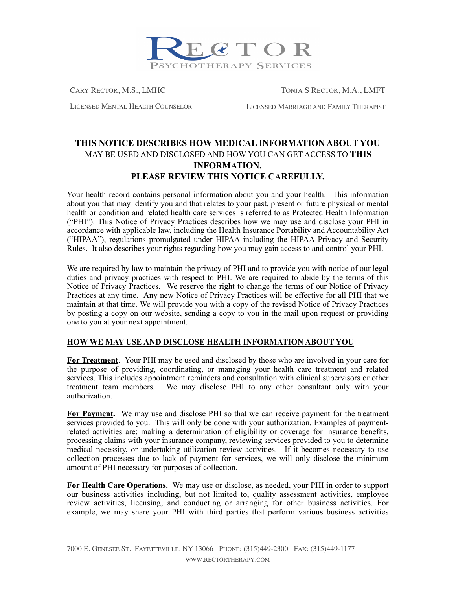

CARY RECTOR, M.S., LMHC TONJA S RECTOR, M.A., LMFT

LICENSED MENTAL HEALTH COUNSELOR LICENSED MARRIAGE AND FAMILY THERAPIST

## **THIS NOTICE DESCRIBES HOW MEDICAL INFORMATION ABOUT YOU**  MAY BE USED AND DISCLOSED AND HOW YOU CAN GET ACCESS TO **THIS INFORMATION. PLEASE REVIEW THIS NOTICE CAREFULLY.**

Your health record contains personal information about you and your health. This information about you that may identify you and that relates to your past, present or future physical or mental health or condition and related health care services is referred to as Protected Health Information ("PHI"). This Notice of Privacy Practices describes how we may use and disclose your PHI in accordance with applicable law, including the Health Insurance Portability and Accountability Act ("HIPAA"), regulations promulgated under HIPAA including the HIPAA Privacy and Security Rules. It also describes your rights regarding how you may gain access to and control your PHI.

We are required by law to maintain the privacy of PHI and to provide you with notice of our legal duties and privacy practices with respect to PHI. We are required to abide by the terms of this Notice of Privacy Practices. We reserve the right to change the terms of our Notice of Privacy Practices at any time. Any new Notice of Privacy Practices will be effective for all PHI that we maintain at that time. We will provide you with a copy of the revised Notice of Privacy Practices by posting a copy on our website, sending a copy to you in the mail upon request or providing one to you at your next appointment.

## **HOW WE MAY USE AND DISCLOSE HEALTH INFORMATION ABOUT YOU**

**For Treatment**.Your PHI may be used and disclosed by those who are involved in your care for the purpose of providing, coordinating, or managing your health care treatment and related services. This includes appointment reminders and consultation with clinical supervisors or other treatment team members. We may disclose PHI to any other consultant only with your authorization.

**For Payment.** We may use and disclose PHI so that we can receive payment for the treatment services provided to you. This will only be done with your authorization. Examples of paymentrelated activities are: making a determination of eligibility or coverage for insurance benefits, processing claims with your insurance company, reviewing services provided to you to determine medical necessity, or undertaking utilization review activities. If it becomes necessary to use collection processes due to lack of payment for services, we will only disclose the minimum amount of PHI necessary for purposes of collection.

**For Health Care Operations.** We may use or disclose, as needed, your PHI in order to support our business activities including, but not limited to, quality assessment activities, employee review activities, licensing, and conducting or arranging for other business activities. For example, we may share your PHI with third parties that perform various business activities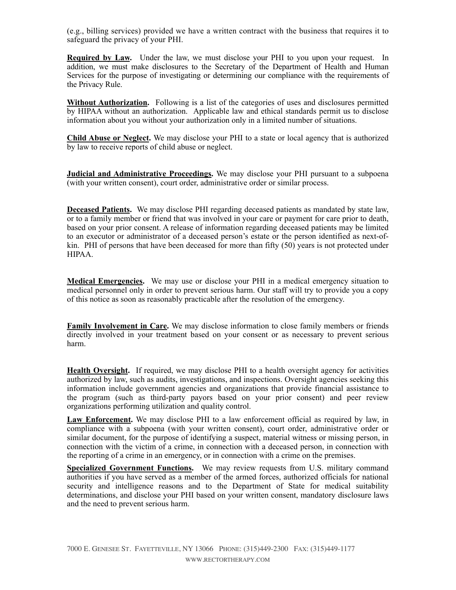(e.g., billing services) provided we have a written contract with the business that requires it to safeguard the privacy of your PHI.

**Required by Law.** Under the law, we must disclose your PHI to you upon your request. In addition, we must make disclosures to the Secretary of the Department of Health and Human Services for the purpose of investigating or determining our compliance with the requirements of the Privacy Rule.

**Without Authorization.** Following is a list of the categories of uses and disclosures permitted by HIPAA without an authorization. Applicable law and ethical standards permit us to disclose information about you without your authorization only in a limited number of situations.

**Child Abuse or Neglect.** We may disclose your PHI to a state or local agency that is authorized by law to receive reports of child abuse or neglect.

**Judicial and Administrative Proceedings.** We may disclose your PHI pursuant to a subpoena (with your written consent), court order, administrative order or similar process.

**Deceased Patients.** We may disclose PHI regarding deceased patients as mandated by state law, or to a family member or friend that was involved in your care or payment for care prior to death, based on your prior consent. A release of information regarding deceased patients may be limited to an executor or administrator of a deceased person's estate or the person identified as next-ofkin. PHI of persons that have been deceased for more than fifty (50) years is not protected under HIPAA.

**Medical Emergencies.** We may use or disclose your PHI in a medical emergency situation to medical personnel only in order to prevent serious harm. Our staff will try to provide you a copy of this notice as soon as reasonably practicable after the resolution of the emergency.

**Family Involvement in Care.** We may disclose information to close family members or friends directly involved in your treatment based on your consent or as necessary to prevent serious harm.

**Health Oversight.** If required, we may disclose PHI to a health oversight agency for activities authorized by law, such as audits, investigations, and inspections. Oversight agencies seeking this information include government agencies and organizations that provide financial assistance to the program (such as third-party payors based on your prior consent) and peer review organizations performing utilization and quality control.

**Law Enforcement.** We may disclose PHI to a law enforcement official as required by law, in compliance with a subpoena (with your written consent), court order, administrative order or similar document, for the purpose of identifying a suspect, material witness or missing person, in connection with the victim of a crime, in connection with a deceased person, in connection with the reporting of a crime in an emergency, or in connection with a crime on the premises.

**Specialized Government Functions.** We may review requests from U.S. military command authorities if you have served as a member of the armed forces, authorized officials for national security and intelligence reasons and to the Department of State for medical suitability determinations, and disclose your PHI based on your written consent, mandatory disclosure laws and the need to prevent serious harm.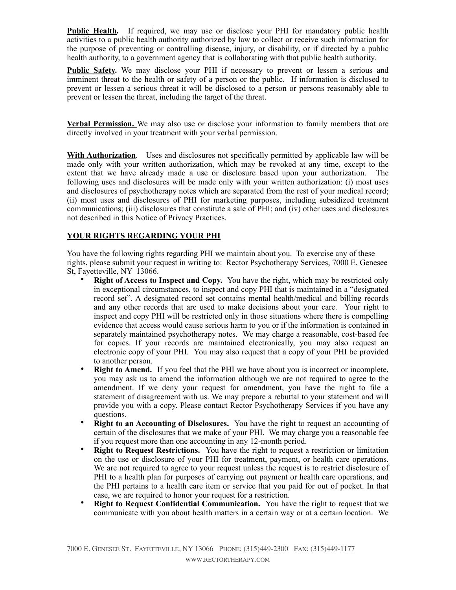**Public Health.** If required, we may use or disclose your PHI for mandatory public health activities to a public health authority authorized by law to collect or receive such information for the purpose of preventing or controlling disease, injury, or disability, or if directed by a public health authority, to a government agency that is collaborating with that public health authority.

**Public Safety.** We may disclose your PHI if necessary to prevent or lessen a serious and imminent threat to the health or safety of a person or the public. If information is disclosed to prevent or lessen a serious threat it will be disclosed to a person or persons reasonably able to prevent or lessen the threat, including the target of the threat.

**Verbal Permission.** We may also use or disclose your information to family members that are directly involved in your treatment with your verbal permission.

**With Authorization**. Uses and disclosures not specifically permitted by applicable law will be made only with your written authorization, which may be revoked at any time, except to the extent that we have already made a use or disclosure based upon your authorization. The following uses and disclosures will be made only with your written authorization: (i) most uses and disclosures of psychotherapy notes which are separated from the rest of your medical record; (ii) most uses and disclosures of PHI for marketing purposes, including subsidized treatment communications; (iii) disclosures that constitute a sale of PHI; and (iv) other uses and disclosures not described in this Notice of Privacy Practices.

## **YOUR RIGHTS REGARDING YOUR PHI**

You have the following rights regarding PHI we maintain about you. To exercise any of these rights, please submit your request in writing to: Rector Psychotherapy Services, 7000 E. Genesee St, Fayetteville, NY 13066.

- **Right of Access to Inspect and Copy.** You have the right, which may be restricted only in exceptional circumstances, to inspect and copy PHI that is maintained in a "designated record set". A designated record set contains mental health/medical and billing records and any other records that are used to make decisions about your care. Your right to inspect and copy PHI will be restricted only in those situations where there is compelling evidence that access would cause serious harm to you or if the information is contained in separately maintained psychotherapy notes. We may charge a reasonable, cost-based fee for copies. If your records are maintained electronically, you may also request an electronic copy of your PHI. You may also request that a copy of your PHI be provided to another person.
- **Right to Amend.** If you feel that the PHI we have about you is incorrect or incomplete, you may ask us to amend the information although we are not required to agree to the amendment. If we deny your request for amendment, you have the right to file a statement of disagreement with us. We may prepare a rebuttal to your statement and will provide you with a copy. Please contact Rector Psychotherapy Services if you have any questions.
- **Right to an Accounting of Disclosures.** You have the right to request an accounting of certain of the disclosures that we make of your PHI. We may charge you a reasonable fee if you request more than one accounting in any 12-month period.
- **Right to Request Restrictions.** You have the right to request a restriction or limitation on the use or disclosure of your PHI for treatment, payment, or health care operations. We are not required to agree to your request unless the request is to restrict disclosure of PHI to a health plan for purposes of carrying out payment or health care operations, and the PHI pertains to a health care item or service that you paid for out of pocket. In that case, we are required to honor your request for a restriction.
- **Right to Request Confidential Communication.** You have the right to request that we communicate with you about health matters in a certain way or at a certain location. We